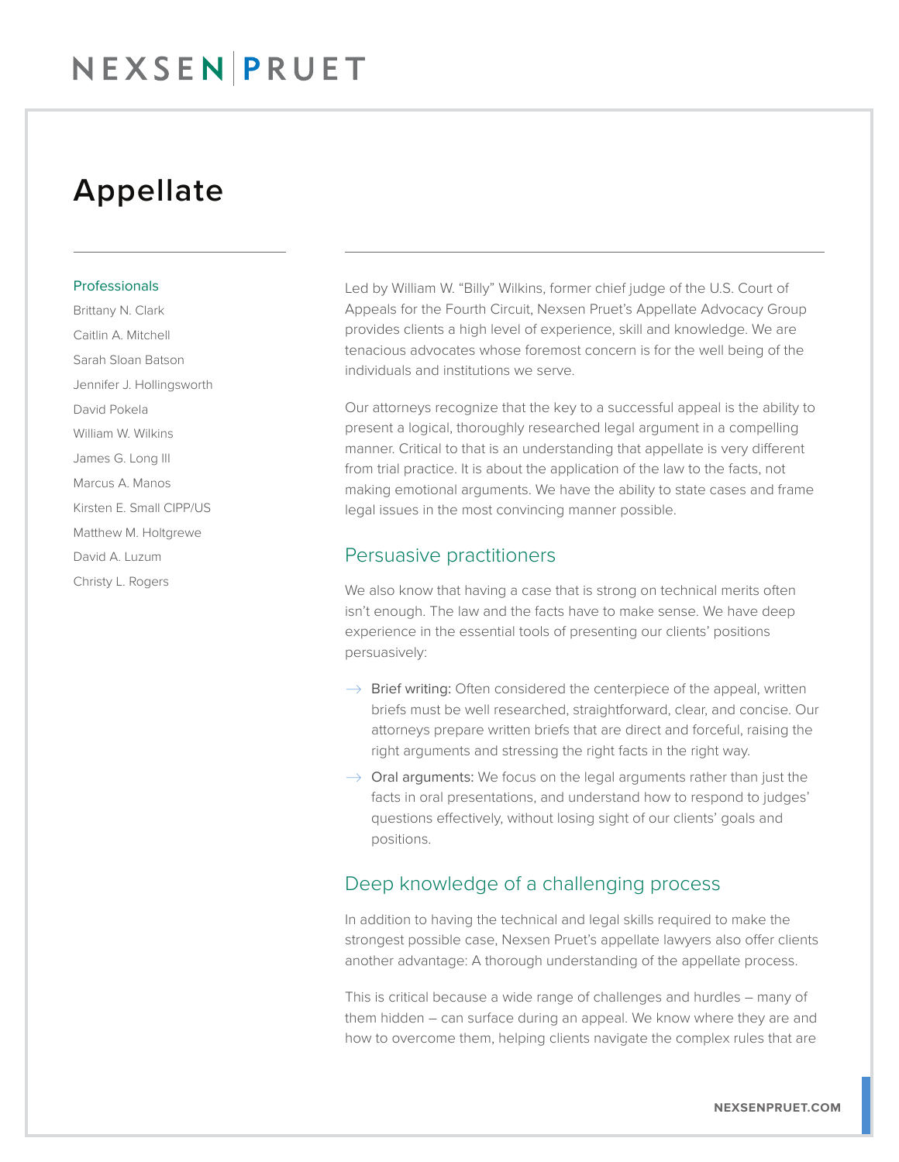## Appellate

#### Professionals

Brittany N. Clark Caitlin A. Mitchell Sarah Sloan Batson Jennifer J. Hollingsworth David Pokela William W. Wilkins James G. Long III Marcus A. Manos Kirsten E. Small CIPP/US Matthew M. Holtgrewe David A. Luzum Christy L. Rogers

Led by William W. "Billy" Wilkins, former chief judge of the U.S. Court of Appeals for the Fourth Circuit, Nexsen Pruet's Appellate Advocacy Group provides clients a high level of experience, skill and knowledge. We are tenacious advocates whose foremost concern is for the well being of the individuals and institutions we serve.

Our attorneys recognize that the key to a successful appeal is the ability to present a logical, thoroughly researched legal argument in a compelling manner. Critical to that is an understanding that appellate is very different from trial practice. It is about the application of the law to the facts, not making emotional arguments. We have the ability to state cases and frame legal issues in the most convincing manner possible.

### Persuasive practitioners

We also know that having a case that is strong on technical merits often isn't enough. The law and the facts have to make sense. We have deep experience in the essential tools of presenting our clients' positions persuasively:

- $\rightarrow$  Brief writing: Often considered the centerpiece of the appeal, written briefs must be well researched, straightforward, clear, and concise. Our attorneys prepare written briefs that are direct and forceful, raising the right arguments and stressing the right facts in the right way.
- $\rightarrow$  Oral arguments: We focus on the legal arguments rather than just the facts in oral presentations, and understand how to respond to judges' questions effectively, without losing sight of our clients' goals and positions.

### Deep knowledge of a challenging process

In addition to having the technical and legal skills required to make the strongest possible case, Nexsen Pruet's appellate lawyers also offer clients another advantage: A thorough understanding of the appellate process.

This is critical because a wide range of challenges and hurdles – many of them hidden – can surface during an appeal. We know where they are and how to overcome them, helping clients navigate the complex rules that are